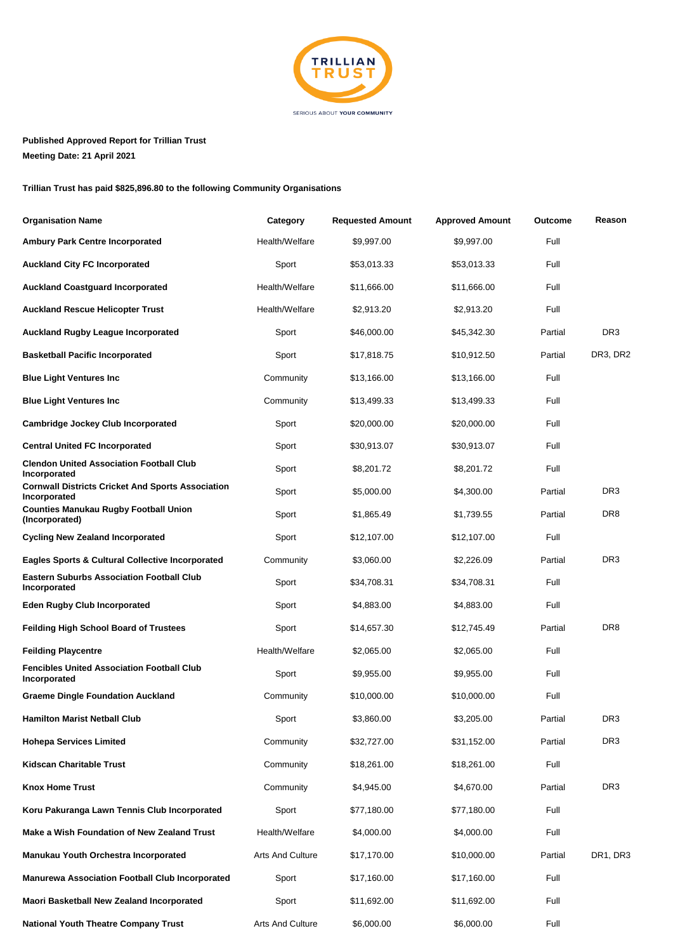

## **Published Approved Report for Trillian Trust Meeting Date: 21 April 2021**

**Trillian Trust has paid \$825,896.80 to the following Community Organisations**

| <b>Organisation Name</b>                                                 | Category         | <b>Requested Amount</b> | <b>Approved Amount</b> | Outcome | Reason          |
|--------------------------------------------------------------------------|------------------|-------------------------|------------------------|---------|-----------------|
| Ambury Park Centre Incorporated                                          | Health/Welfare   | \$9,997.00              | \$9,997.00             | Full    |                 |
| <b>Auckland City FC Incorporated</b>                                     | Sport            | \$53,013.33             | \$53,013.33            | Full    |                 |
| <b>Auckland Coastguard Incorporated</b>                                  | Health/Welfare   | \$11,666.00             | \$11,666.00            | Full    |                 |
| <b>Auckland Rescue Helicopter Trust</b>                                  | Health/Welfare   | \$2,913.20              | \$2,913.20             | Full    |                 |
| <b>Auckland Rugby League Incorporated</b>                                | Sport            | \$46,000.00             | \$45,342.30            | Partial | DR <sub>3</sub> |
| <b>Basketball Pacific Incorporated</b>                                   | Sport            | \$17,818.75             | \$10,912.50            | Partial | DR3, DR2        |
| <b>Blue Light Ventures Inc</b>                                           | Community        | \$13,166.00             | \$13,166.00            | Full    |                 |
| <b>Blue Light Ventures Inc</b>                                           | Community        | \$13,499.33             | \$13,499.33            | Full    |                 |
| <b>Cambridge Jockey Club Incorporated</b>                                | Sport            | \$20,000.00             | \$20,000.00            | Full    |                 |
| <b>Central United FC Incorporated</b>                                    | Sport            | \$30,913.07             | \$30,913.07            | Full    |                 |
| <b>Clendon United Association Football Club</b><br>Incorporated          | Sport            | \$8,201.72              | \$8,201.72             | Full    |                 |
| <b>Cornwall Districts Cricket And Sports Association</b><br>Incorporated | Sport            | \$5,000.00              | \$4,300.00             | Partial | DR <sub>3</sub> |
| <b>Counties Manukau Rugby Football Union</b><br>(Incorporated)           | Sport            | \$1,865.49              | \$1,739.55             | Partial | DR <sub>8</sub> |
| <b>Cycling New Zealand Incorporated</b>                                  | Sport            | \$12,107.00             | \$12,107.00            | Full    |                 |
| <b>Eagles Sports &amp; Cultural Collective Incorporated</b>              | Community        | \$3,060.00              | \$2,226.09             | Partial | DR <sub>3</sub> |
| <b>Eastern Suburbs Association Football Club</b><br>Incorporated         | Sport            | \$34,708.31             | \$34,708.31            | Full    |                 |
| <b>Eden Rugby Club Incorporated</b>                                      | Sport            | \$4,883.00              | \$4,883.00             | Full    |                 |
| <b>Feilding High School Board of Trustees</b>                            | Sport            | \$14,657.30             | \$12,745.49            | Partial | DR <sub>8</sub> |
| <b>Feilding Playcentre</b>                                               | Health/Welfare   | \$2,065.00              | \$2,065.00             | Full    |                 |
| <b>Fencibles United Association Football Club</b><br>Incorporated        | Sport            | \$9,955.00              | \$9,955.00             | Full    |                 |
| <b>Graeme Dingle Foundation Auckland</b>                                 | Community        | \$10,000.00             | \$10,000.00            | Full    |                 |
| <b>Hamilton Marist Netball Club</b>                                      | Sport            | \$3,860.00              | \$3,205.00             | Partial | DR <sub>3</sub> |
| <b>Hohepa Services Limited</b>                                           | Community        | \$32,727.00             | \$31,152.00            | Partial | DR <sub>3</sub> |
| Kidscan Charitable Trust                                                 | Community        | \$18,261.00             | \$18,261.00            | Full    |                 |
| <b>Knox Home Trust</b>                                                   | Community        | \$4,945.00              | \$4,670.00             | Partial | DR <sub>3</sub> |
| Koru Pakuranga Lawn Tennis Club Incorporated                             | Sport            | \$77,180.00             | \$77,180.00            | Full    |                 |
| Make a Wish Foundation of New Zealand Trust                              | Health/Welfare   | \$4,000.00              | \$4,000.00             | Full    |                 |
| Manukau Youth Orchestra Incorporated                                     | Arts And Culture | \$17,170.00             | \$10,000.00            | Partial | DR1, DR3        |
| Manurewa Association Football Club Incorporated                          | Sport            | \$17,160.00             | \$17,160.00            | Full    |                 |
| Maori Basketball New Zealand Incorporated                                | Sport            | \$11,692.00             | \$11,692.00            | Full    |                 |
| <b>National Youth Theatre Company Trust</b>                              | Arts And Culture | \$6,000.00              | \$6,000.00             | Full    |                 |